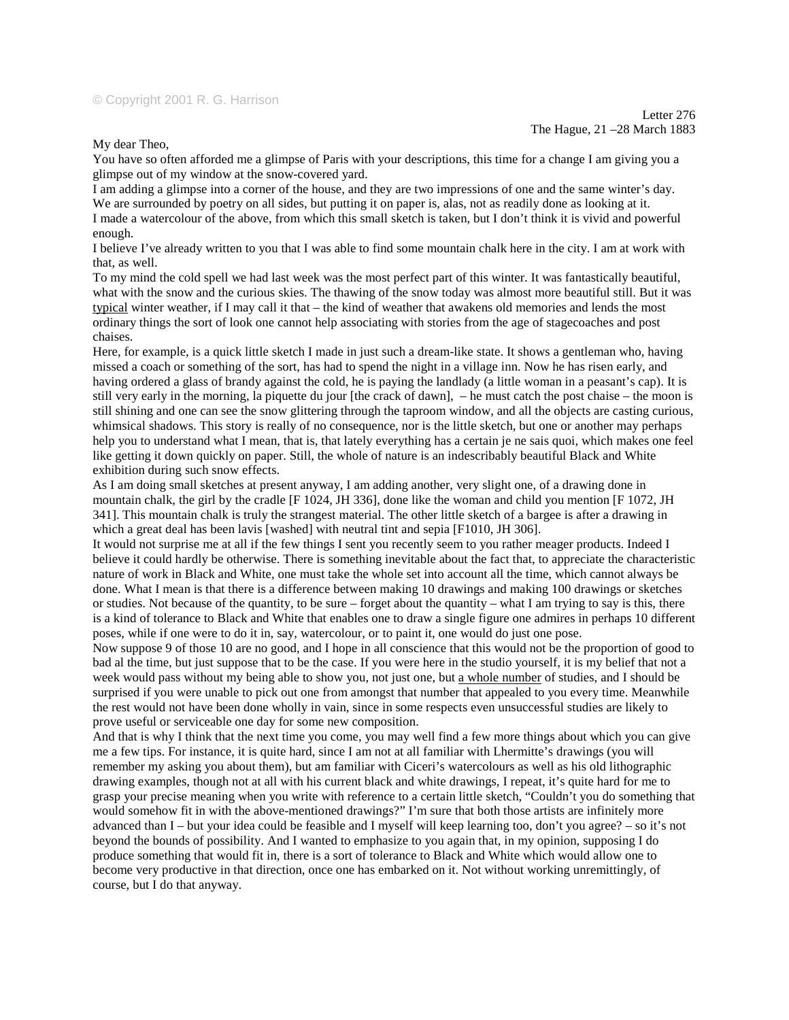## © Copyright 2001 R. G. Harrison

My dear Theo,

You have so often afforded me a glimpse of Paris with your descriptions, this time for a change I am giving you a glimpse out of my window at the snow-covered yard.

I am adding a glimpse into a corner of the house, and they are two impressions of one and the same winter's day. We are surrounded by poetry on all sides, but putting it on paper is, alas, not as readily done as looking at it. I made a watercolour of the above, from which this small sketch is taken, but I don't think it is vivid and powerful enough.

I believe I've already written to you that I was able to find some mountain chalk here in the city. I am at work with that, as well.

To my mind the cold spell we had last week was the most perfect part of this winter. It was fantastically beautiful, what with the snow and the curious skies. The thawing of the snow today was almost more beautiful still. But it was typical winter weather, if I may call it that – the kind of weather that awakens old memories and lends the most ordinary things the sort of look one cannot help associating with stories from the age of stagecoaches and post chaises.

Here, for example, is a quick little sketch I made in just such a dream-like state. It shows a gentleman who, having missed a coach or something of the sort, has had to spend the night in a village inn. Now he has risen early, and having ordered a glass of brandy against the cold, he is paying the landlady (a little woman in a peasant's cap). It is still very early in the morning, la piquette du jour [the crack of dawn], – he must catch the post chaise – the moon is still shining and one can see the snow glittering through the taproom window, and all the objects are casting curious, whimsical shadows. This story is really of no consequence, nor is the little sketch, but one or another may perhaps help you to understand what I mean, that is, that lately everything has a certain je ne sais quoi, which makes one feel like getting it down quickly on paper. Still, the whole of nature is an indescribably beautiful Black and White exhibition during such snow effects.

As I am doing small sketches at present anyway, I am adding another, very slight one, of a drawing done in mountain chalk, the girl by the cradle [F 1024, JH 336], done like the woman and child you mention [F 1072, JH 341]. This mountain chalk is truly the strangest material. The other little sketch of a bargee is after a drawing in which a great deal has been lavis [washed] with neutral tint and sepia [F1010, JH 306].

It would not surprise me at all if the few things I sent you recently seem to you rather meager products. Indeed I believe it could hardly be otherwise. There is something inevitable about the fact that, to appreciate the characteristic nature of work in Black and White, one must take the whole set into account all the time, which cannot always be done. What I mean is that there is a difference between making 10 drawings and making 100 drawings or sketches or studies. Not because of the quantity, to be sure – forget about the quantity – what I am trying to say is this, there is a kind of tolerance to Black and White that enables one to draw a single figure one admires in perhaps 10 different poses, while if one were to do it in, say, watercolour, or to paint it, one would do just one pose.

Now suppose 9 of those 10 are no good, and I hope in all conscience that this would not be the proportion of good to bad al the time, but just suppose that to be the case. If you were here in the studio yourself, it is my belief that not a week would pass without my being able to show you, not just one, but a whole number of studies, and I should be surprised if you were unable to pick out one from amongst that number that appealed to you every time. Meanwhile the rest would not have been done wholly in vain, since in some respects even unsuccessful studies are likely to prove useful or serviceable one day for some new composition.

And that is why I think that the next time you come, you may well find a few more things about which you can give me a few tips. For instance, it is quite hard, since I am not at all familiar with Lhermitte's drawings (you will remember my asking you about them), but am familiar with Ciceri's watercolours as well as his old lithographic drawing examples, though not at all with his current black and white drawings, I repeat, it's quite hard for me to grasp your precise meaning when you write with reference to a certain little sketch, "Couldn't you do something that would somehow fit in with the above-mentioned drawings?" I'm sure that both those artists are infinitely more advanced than I – but your idea could be feasible and I myself will keep learning too, don't you agree? – so it's not beyond the bounds of possibility. And I wanted to emphasize to you again that, in my opinion, supposing I do produce something that would fit in, there is a sort of tolerance to Black and White which would allow one to become very productive in that direction, once one has embarked on it. Not without working unremittingly, of course, but I do that anyway.